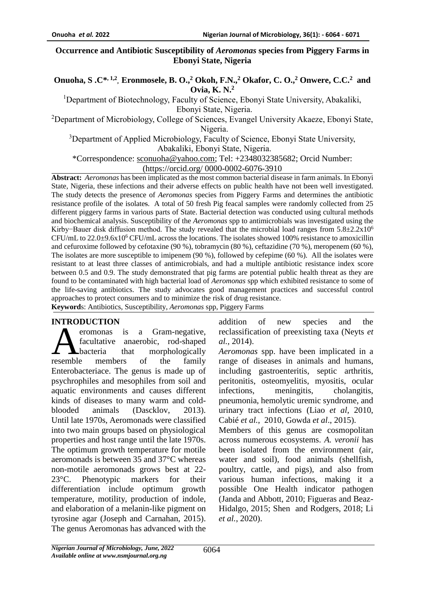### **Occurrence and Antibiotic Susceptibility of** *Aeromonas* **species from Piggery Farms in Ebonyi State, Nigeria**

### **Onuoha, S .C\*, 1,2 , Eronmosele, B. O., <sup>2</sup> Okoh, F.N., <sup>2</sup> Okafor, C. O., <sup>2</sup> Onwere, C.C. 2 and Ovia, K. N. 2**

<sup>1</sup>Department of Biotechnology, Faculty of Science, Ebonyi State University, Abakaliki, Ebonyi State, Nigeria.

<sup>2</sup>Department of Microbiology, College of Sciences, Evangel University Akaeze, Ebonyi State, Nigeria.

<sup>3</sup>Department of Applied Microbiology, Faculty of Science, Ebonyi State University,

Abakaliki, Ebonyi State, Nigeria.

\*Correspondence: [sconuoha@yahoo.com;](mailto:sconuoha@yahoo.com) Tel: +2348032385682; Orcid Number:

(https://orcid.org/ 0000-0002-6076-3910

**Abstract:** *Aeromonas* has been implicated as the most common bacterial disease in farm animals. In Ebonyi State, Nigeria, these infections and their adverse effects on public health have not been well investigated. The study detects the presence of *Aeromonas* species from Piggery Farms and determines the antibiotic resistance profile of the isolates. A total of 50 fresh Pig feacal samples were randomly collected from 25 different piggery farms in various parts of State. Bacterial detection was conducted using cultural methods and biochemical analysis. Susceptibility of the *Aeromonas* spp to antimicrobials was investigated using the Kirby−Bauer disk diffusion method. The study revealed that the microbial load ranges from 5.8±2.2x10<sup>6</sup> CFU/mL to 22.0±9.6x10<sup>6</sup> CFU/mL across the locations. The isolates showed 100% resistance to amoxicillin and cefuroxime followed by cefotaxine (90 %), tobramycin (80 %), ceftazidine (70 %), meropenem (60 %), The isolates are more susceptible to imipenem (90 %), followed by cefepime (60 %). All the isolates were resistant to at least three classes of antimicrobials, and had a multiple antibiotic resistance index score between 0.5 and 0.9. The study demonstrated that pig farms are potential public health threat as they are found to be contaminated with high bacterial load of *Aeromonas* spp which exhibited resistance to some of the life-saving antibiotics. The study advocates good management practices and successful control approaches to protect consumers and to minimize the risk of drug resistance. **Keyword**s: Antibiotics, Susceptibility, *Aeromonas* spp, Piggery Farms

#### **INTRODUCTION**

eromonas is a Gram-negative, facultative anaerobic, rod-shaped bacteria that morphologically members of the family Enterobacteriace. The genus is made up of psychrophiles and mesophiles from soil and aquatic environments and causes different kinds of diseases to many warm and coldblooded animals (Dascklov, 2013). Until late 1970s, Aeromonads were classified into two main groups based on physiological properties and host range until the late 1970s. The optimum growth temperature for motile aeromonads is between 35 and 37°C whereas non-motile aeromonads grows best at 22- 23°C. Phenotypic markers for their differentiation include optimum growth temperature, motility, production of indole, and elaboration of a melanin-like pigment on tyrosine agar (Joseph and Carnahan, 2015). The genus Aeromonas has advanced with the resemble

addition of new species and the reclassification of preexisting taxa (Neyts *et al.,* 2014).

*Aeromonas* spp. have been implicated in a range of diseases in animals and humans, including gastroenteritis, septic arthritis, peritonitis, osteomyelitis, myositis, ocular infections, meningitis, cholangitis, pneumonia, hemolytic uremic syndrome, and urinary tract infections (Liao *et al*, 2010, Cabié *et al.*, 2010, Gowda *et al*., 2015).

Members of this genus are cosmopolitan across numerous ecosystems. *A. veronii* has been isolated from the environment (air, water and soil), food animals (shellfish, poultry, cattle, and pigs), and also from various human infections, making it a possible One Health indicator pathogen (Janda and Abbott, 2010; Figueras and Beaz-Hidalgo, 2015; Shen and Rodgers, 2018; Li *et al.*, 2020).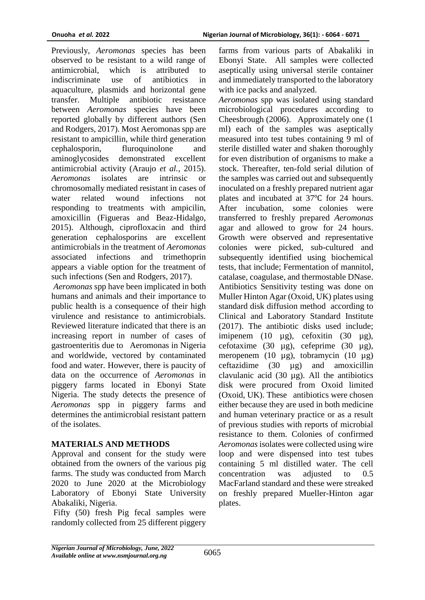Previously, *Aeromonas* species has been observed to be resistant to a wild range of antimicrobial, which is attributed to indiscriminate use of antibiotics in aquaculture, plasmids and horizontal gene transfer. Multiple antibiotic resistance between *Aeromonas* species have been reported globally by different authors (Sen and Rodgers, 2017). Most Aeromonas spp are resistant to ampicillin, while third generation cephalosporin, fluroquinolone and aminoglycosides demonstrated excellent antimicrobial activity (Araujo *et al.,* 2015). *Aeromonas* isolates are intrinsic or chromosomally mediated resistant in cases of water related wound infections not responding to treatments with ampicilin, amoxicillin (Figueras and Beaz-Hidalgo, 2015). Although, ciprofloxacin and third generation cephalosporins are excellent antimicrobials in the treatment of *Aeromonas* associated infections and trimethoprin appears a viable option for the treatment of such infections (Sen and Rodgers*,* 2017).

*Aeromonas* spp have been implicated in both humans and animals and their importance to public health is a consequence of their high virulence and resistance to antimicrobials. Reviewed literature indicated that there is an increasing report in number of cases of gastroenteritis due to Aeromonas in Nigeria and worldwide, vectored by contaminated food and water. However, there is paucity of data on the occurrence of *Aeromonas* in piggery farms located in Ebonyi State Nigeria. The study detects the presence of *Aeromonas* spp in piggery farms and determines the antimicrobial resistant pattern of the isolates.

# **MATERIALS AND METHODS**

Approval and consent for the study were obtained from the owners of the various pig farms. The study was conducted from March 2020 to June 2020 at the Microbiology Laboratory of Ebonyi State University Abakaliki, Nigeria.

Fifty (50) fresh Pig fecal samples were randomly collected from 25 different piggery

farms from various parts of Abakaliki in Ebonyi State. All samples were collected aseptically using universal sterile container and immediately transported to the laboratory with ice packs and analyzed.

*Aeromonas* spp was isolated using standard microbiological procedures according to Cheesbrough (2006). Approximately one (1 ml) each of the samples was aseptically measured into test tubes containing 9 ml of sterile distilled water and shaken thoroughly for even distribution of organisms to make a stock. Thereafter, ten-fold serial dilution of the samples was carried out and subsequently inoculated on a freshly prepared nutrient agar plates and incubated at 37℃ for 24 hours. After incubation, some colonies were transferred to freshly prepared *Aeromonas*  agar and allowed to grow for 24 hours. Growth were observed and representative colonies were picked, sub-cultured and subsequently identified using biochemical tests, that include; Fermentation of mannitol, catalase, coagulase, and thermostable DNase. Antibiotics Sensitivity testing was done on Muller Hinton Agar (Oxoid, UK) plates using standard disk diffusion method according to Clinical and Laboratory Standard Institute (2017). The antibiotic disks used include; imipenem (10 µg), cefoxitin (30 µg), cefotaxime (30 µg), cefeprime (30 µg), meropenem (10 µg), tobramycin (10 µg) ceftazidime (30 µg) and amoxicillin clavulanic acid (30 µg). All the antibiotics disk were procured from Oxoid limited (Oxoid, UK). These antibiotics were chosen either because they are used in both medicine and human veterinary practice or as a result of previous studies with reports of microbial resistance to them. Colonies of confirmed *Aeromonas* isolates were collected using wire loop and were dispensed into test tubes containing 5 ml distilled water. The cell concentration was adjusted to 0.5 MacFarland standard and these were streaked on freshly prepared Mueller-Hinton agar plates.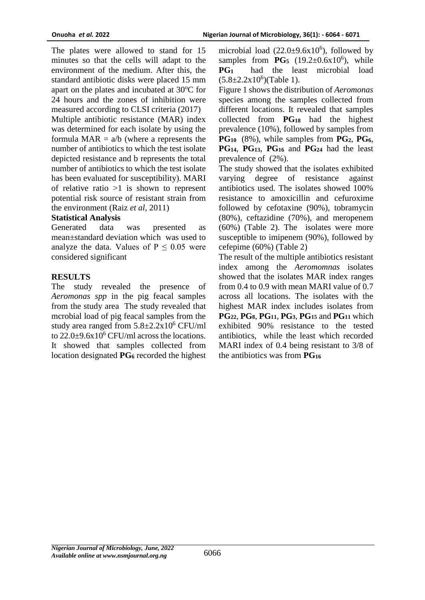The plates were allowed to stand for 15 minutes so that the cells will adapt to the environment of the medium. After this, the standard antibiotic disks were placed 15 mm apart on the plates and incubated at  $30^{\circ}$ C for 24 hours and the zones of inhibition were measured according to CLSI criteria (2017) Multiple antibiotic resistance (MAR) index was determined for each isolate by using the formula  $MAR = a/b$  (where a represents the number of antibiotics to which the test isolate depicted resistance and b represents the total number of antibiotics to which the test isolate has been evaluated for susceptibility). MARI of relative ratio  $>1$  is shown to represent potential risk source of resistant strain from the environment (Raiz *et al,* 2011)

### **Statistical Analysis**

Generated data was presented as mean±standard deviation which was used to analyze the data. Values of  $P \le 0.05$  were considered significant

# **RESULTS**

The study revealed the presence of *Aeromonas spp* in the pig feacal samples from the study area The study revealed that mcrobial load of pig feacal samples from the study area ranged from  $5.8 \pm 2.2 \times 10^6$  CFU/ml to  $22.0\pm9.6x10^6$  CFU/ml across the locations. It showed that samples collected from location designated **PG<sup>6</sup>** recorded the highest

microbial load  $(22.0\pm9.6x10^6)$ , followed by samples from  $PG_5$  (19.2 $\pm$ 0.6x10<sup>6</sup>), while **PG1** had the least microbial load  $(5.8 \pm 2.2 \times 10^6)( \text{Table 1}).$ 

Figure 1 shows the distribution of *Aeromonas* species among the samples collected from different locations. It revealed that samples collected from **PG<sup>18</sup>** had the highest prevalence (10%), followed by samples from **PG10** (8%), while samples from **PG2**, **PG6**, **PG**<sub>14</sub>, **PG**<sub>13</sub>, **PG**<sub>16</sub> and **PG**<sub>24</sub> had the least prevalence of (2%).

The study showed that the isolates exhibited varying degree of resistance against antibiotics used. The isolates showed 100% resistance to amoxicillin and cefuroxime followed by cefotaxine (90%), tobramycin (80%), ceftazidine (70%), and meropenem (60%) (Table 2). The isolates were more susceptible to imipenem (90%), followed by cefepime (60%) (Table 2)

The result of the multiple antibiotics resistant index among the *Aeromomnas* isolates showed that the isolates MAR index ranges from 0.4 to 0.9 with mean MARI value of 0.7 across all locations. The isolates with the highest MAR index includes isolates from **PG22**, **PG8**, **PG11**, **PG3**, **PG<sup>15</sup>** and **PG<sup>11</sup>** which exhibited 90% resistance to the tested antibiotics, while the least which recorded MARI index of 0.4 being resistant to 3/8 of the antibiotics was from **PG<sup>16</sup>**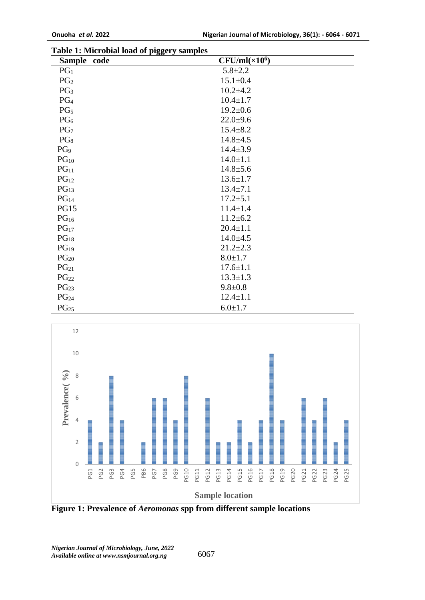| Sample code      | $1 - 55 - 7$<br>$CFU/ml(\times 10^6)$ |
|------------------|---------------------------------------|
| PG <sub>1</sub>  | $5.8 + 2.2$                           |
| PG <sub>2</sub>  | $15.1 \pm 0.4$                        |
| PG <sub>3</sub>  | $10.2 \pm 4.2$                        |
| PG <sub>4</sub>  | $10.4 \pm 1.7$                        |
| PG <sub>5</sub>  | $19.2 \pm 0.6$                        |
| PG <sub>6</sub>  | $22.0+9.6$                            |
| PG <sub>7</sub>  | $15.4 \pm 8.2$                        |
| PG <sub>8</sub>  | $14.8 + 4.5$                          |
| PG <sub>9</sub>  | $14.4 \pm 3.9$                        |
| PG <sub>10</sub> | $14.0 \pm 1.1$                        |
| PG <sub>11</sub> | $14.8 \pm 5.6$                        |
| PG <sub>12</sub> | $13.6 \pm 1.7$                        |
| PG <sub>13</sub> | $13.4 \pm 7.1$                        |
| PG <sub>14</sub> | $17.2 \pm 5.1$                        |
| <b>PG15</b>      | $11.4 \pm 1.4$                        |
| PG <sub>16</sub> | $11.2 \pm 6.2$                        |
| PG <sub>17</sub> | $20.4 \pm 1.1$                        |
| PG <sub>18</sub> | $14.0 \pm 4.5$                        |
| PG <sub>19</sub> | $21.2 \pm 2.3$                        |
| $PG_{20}$        | $8.0 \pm 1.7$                         |
| PG <sub>21</sub> | $17.6 \pm 1.1$                        |
| $PG_{22}$        | $13.3 \pm 1.3$                        |
| PG <sub>23</sub> | $9.8 + 0.8$                           |
| PG <sub>24</sub> | $12.4 \pm 1.1$                        |
| PG <sub>25</sub> | $6.0 \pm 1.7$                         |

**Table 1: Microbial load of piggery samples**



**Figure 1: Prevalence of** *Aeromonas* **spp from different sample locations**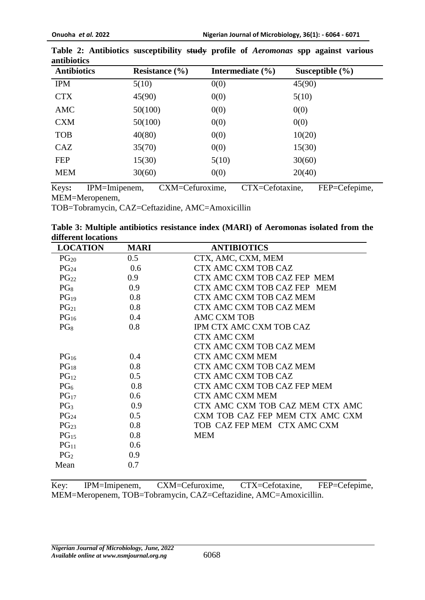| <b>Antibiotics</b> | Resistance $(\% )$ | Intermediate $(\% )$ | Susceptible $(\% )$ |
|--------------------|--------------------|----------------------|---------------------|
| <b>IPM</b>         | 5(10)              | 0(0)                 | 45(90)              |
| <b>CTX</b>         | 45(90)             | 0(0)                 | 5(10)               |
| <b>AMC</b>         | 50(100)            | 0(0)                 | 0(0)                |
| <b>CXM</b>         | 50(100)            | 0(0)                 | 0(0)                |
| <b>TOB</b>         | 40(80)             | 0(0)                 | 10(20)              |
| CAZ                | 35(70)             | 0(0)                 | 15(30)              |
| <b>FEP</b>         | 15(30)             | 5(10)                | 30(60)              |
| <b>MEM</b>         | 30(60)             | 0(0)                 | 20(40)              |

**Table 2: Antibiotics susceptibility study profile of** *Aeromonas* **spp against various antibiotics**

Keys**:** IPM=Imipenem, CXM=Cefuroxime, CTX=Cefotaxine, FEP=Cefepime, MEM=Meropenem,

TOB=Tobramycin, CAZ=Ceftazidine, AMC=Amoxicillin

|                     | Table 3: Multiple antibiotics resistance index (MARI) of Aeromonas isolated from the |  |  |  |  |
|---------------------|--------------------------------------------------------------------------------------|--|--|--|--|
| different locations |                                                                                      |  |  |  |  |

| <b>LOCATION</b>  | <b>MARI</b>      | <b>ANTIBIOTICS</b>              |
|------------------|------------------|---------------------------------|
| $PG_{20}$        | 0.5              | CTX, AMC, CXM, MEM              |
| PG <sub>24</sub> | 0.6              | <b>CTX AMC CXM TOB CAZ</b>      |
| $PG_{22}$        | 0.9 <sub>o</sub> | CTX AMC CXM TOB CAZ FEP MEM     |
| $PG_8$           | 0.9              | CTX AMC CXM TOB CAZ FEP MEM     |
| PG <sub>19</sub> | 0.8              | CTX AMC CXM TOB CAZ MEM         |
| $PG_{21}$        | 0.8              | CTX AMC CXM TOB CAZ MEM         |
| PG <sub>16</sub> | 0.4              | <b>AMC CXM TOB</b>              |
| $PG_8$           | 0.8              | IPM CTX AMC CXM TOB CAZ         |
|                  |                  | <b>CTX AMC CXM</b>              |
|                  |                  | CTX AMC CXM TOB CAZ MEM         |
| PG <sub>16</sub> | 0.4              | <b>CTX AMC CXM MEM</b>          |
| PG <sub>18</sub> | 0.8              | <b>CTX AMC CXM TOB CAZ MEM</b>  |
| $PG_{12}$        | 0.5              | CTX AMC CXM TOB CAZ             |
| $PG_{6}$         | 0.8              | CTX AMC CXM TOB CAZ FEP MEM     |
| $PG_{17}$        | 0.6              | <b>CTX AMC CXM MEM</b>          |
| PG <sub>3</sub>  | 0.9              | CTX AMC CXM TOB CAZ MEM CTX AMC |
| PG <sub>24</sub> | 0.5              | CXM TOB CAZ FEP MEM CTX AMC CXM |
| PG <sub>23</sub> | 0.8              | TOB CAZ FEP MEM CTX AMC CXM     |
| PG <sub>15</sub> | 0.8              | <b>MEM</b>                      |
| PG <sub>11</sub> | 0.6              |                                 |
| PG <sub>2</sub>  | 0.9              |                                 |
| Mean             | 0.7              |                                 |

Key: IPM=Imipenem, CXM=Cefuroxime, CTX=Cefotaxine, FEP=Cefepime, MEM=Meropenem, TOB=Tobramycin, CAZ=Ceftazidine, AMC=Amoxicillin.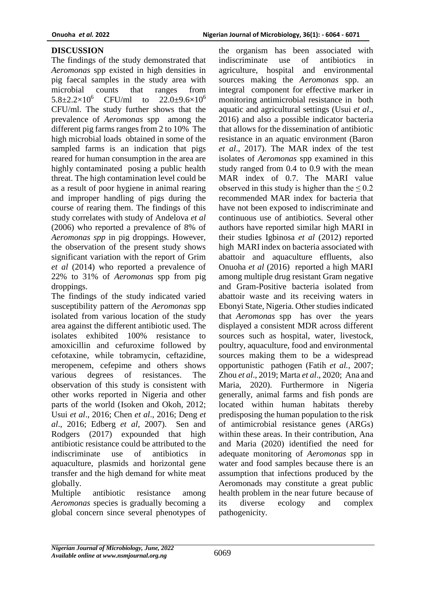# **DISCUSSION**

The findings of the study demonstrated that *Aeromonas* spp existed in high densities in pig faecal samples in the study area with microbial counts that ranges from  $5.8\pm2.2\times10^{6}$  CFU/ml to  $22.0\pm9.6\times10^{6}$ CFU/ml. The study further shows that the prevalence of *Aeromonas* spp among the different pig farms ranges from 2 to 10% The high microbial loads obtained in some of the sampled farms is an indication that pigs reared for human consumption in the area are highly contaminated posing a public health threat. The high contamination level could be as a result of poor hygiene in animal rearing and improper handling of pigs during the course of rearing them. The findings of this study correlates with study of Andelova *et al* (2006) who reported a prevalence of 8% of *Aeromonas spp* in pig droppings. However, the observation of the present study shows significant variation with the report of Grim *et al* (2014) who reported a prevalence of 22% to 31% of *Aeromonas* spp from pig droppings.

The findings of the study indicated varied susceptibility pattern of the *Aeromonas* spp isolated from various location of the study area against the different antibiotic used. The isolates exhibited 100% resistance to amoxicillin and cefuroxime followed by cefotaxine, while tobramycin, ceftazidine, meropenem, cefepime and others shows various degrees of resistances. The observation of this study is consistent with other works reported in Nigeria and other parts of the world (Isoken and Okoh, 2012; Usui *et al*., 2016; Chen *et al*., 2016; Deng *et al*., 2016; Edberg *et al,* 2007). Sen and Rodgers (2017) expounded that high antibiotic resistance could be attributed to the indiscriminate use of antibiotics in aquaculture, plasmids and horizontal gene transfer and the high demand for white meat globally.

Multiple antibiotic resistance among *Aeromonas* species is gradually becoming a global concern since several phenotypes of

the organism has been associated with indiscriminate use of antibiotics in agriculture, hospital and environmental sources making the *Aeromonas* spp. an integral component for effective marker in monitoring antimicrobial resistance in both aquatic and agricultural settings (Usui *et al*., 2016) and also a possible indicator bacteria that allows for the dissemination of antibiotic resistance in an aquatic environment (Baron *et al*., 2017). The MAR index of the test isolates of *Aeromonas* spp examined in this study ranged from 0.4 to 0.9 with the mean MAR index of 0.7. The MARI value observed in this study is higher than the  $\leq 0.2$ recommended MAR index for bacteria that have not been exposed to indiscriminate and continuous use of antibiotics. Several other authors have reported similar high MARI in their studies Igbinosa *et al* (2012) reported high MARI index on bacteria associated with abattoir and aquaculture effluents, also Onuoha *et al* (2016) reported a high MARI among multiple drug resistant Gram negative and Gram-Positive bacteria isolated from abattoir waste and its receiving waters in Ebonyi State, Nigeria. Other studies indicated that *Aeromonas* spp has over the years displayed a consistent MDR across different sources such as hospital, water, livestock, poultry, aquaculture, food and environmental sources making them to be a widespread opportunistic pathogen (Fatih *et al.,* 2007; Zhou *et al*., 2019; Marta *et al*., 2020; Ana and Maria, 2020). Furthermore in Nigeria generally, animal farms and fish ponds are located within human habitats thereby predisposing the human population to the risk of antimicrobial resistance genes (ARGs) within these areas. In their contribution, Ana and Maria (2020) identified the need for adequate monitoring of *Aeromonas* spp in water and food samples because there is an assumption that infections produced by the Aeromonads may constitute a great public health problem in the near future because of its diverse ecology and complex pathogenicity.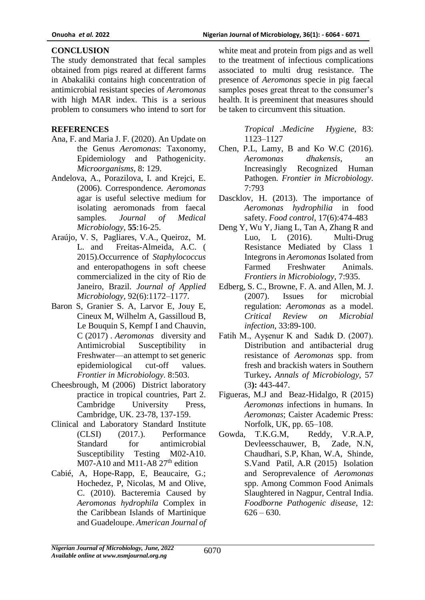### **CONCLUSION**

The study demonstrated that fecal samples obtained from pigs reared at different farms in Abakaliki contains high concentration of antimicrobial resistant species of *Aeromonas* with high MAR index. This is a serious problem to consumers who intend to sort for

### **REFERENCES**

- Ana, F. and Maria J. F. (2020). An Update on the Genus *Aeromonas*: Taxonomy, Epidemiology and Pathogenicity. *Microorganisms*, 8: 129.
- Andelova, A., Porazilova, I. and Krejci, E. (2006). Correspondence. *Aeromonas* agar is useful selective medium for isolating aeromonads from faecal samples*. Journal of Medical Microbiology,* **55**:16-25.
- Araújo, V. S, Pagliares, V.A., Queiroz, M. L. and Freitas-Almeida, A.C. ( 2015).Occurrence of *Staphylococcus* and enteropathogens in soft cheese commercialized in the city of Rio de Janeiro, Brazil. *Journal of Applied Microbiology*, 92(6):1172–1177.
- Baron S, Granier S. A, Larvor E, Jouy E, Cineux M, Wilhelm A, Gassilloud B, Le Bouquin S, Kempf I and Chauvin, C (2017) . *Aeromonas* diversity and Antimicrobial Susceptibility in Freshwater—an attempt to set generic epidemiological cut-off values. *Frontier in Microbiology.* 8:503.
- Cheesbrough, M (2006) District laboratory practice in tropical countries, Part 2. Cambridge University Press, Cambridge, UK. 23-78, 137-159.
- Clinical and Laboratory Standard Institute (CLSI) (2017.). Performance Standard for antimicrobial Susceptibility Testing M02-A10. M07-A10 and M11-A8  $27<sup>th</sup>$  edition
- Cabié, A, Hope-Rapp, E, Beaucaire, G.; Hochedez, P, Nicolas, M and Olive, C. (2010). Bacteremia Caused by *Aeromonas hydrophila* Complex in the Caribbean Islands of Martinique and Guadeloupe. *American Journal of*

white meat and protein from pigs and as well to the treatment of infectious complications associated to multi drug resistance. The presence of *Aeromonas* specie in pig faecal samples poses great threat to the consumer's health. It is preeminent that measures should be taken to circumvent this situation.

> *Tropical .Medicine Hygiene*, 83: 1123–1127

- Chen, P.L, Lamy, B and Ko W.C (2016). *Aeromonas dhakensis*, an Increasingly Recognized Human Pathogen. *Frontier in Microbiology*. 7:793
- Dascklov, H. (2013). The importance of *Aeromonas hydrophilia* in food safety. *Food control*, 17(6):474-483
- Deng Y, Wu Y, Jiang L, Tan A, Zhang R and Luo, L (2016). Multi-Drug Resistance Mediated by Class 1 Integrons in *Aeromonas* Isolated from Farmed Freshwater Animals. *Frontiers in Microbiology,* 7:935.
- Edberg, S. C., Browne, F. A. and Allen, M. J. (2007). Issues for microbial regulation: *Aeromonas* as a model. *Critical Review on Microbial infection,* 33:89-100.
- Fatih M., Ayşenur K and Sadık D. (2007). Distribution and antibacterial drug resistance of *Aeromonas* spp. from fresh and brackish waters in Southern Turkey**.** *Annals of Microbiology,* 57 (3**):** 443-447.
- Figueras, M.J and Beaz-Hidalgo, R (2015) *Aeromonas* infections in humans. In *Aeromonas*; Caister Academic Press: Norfolk, UK, pp. 65–108.
- Gowda, T.K.G.M, Reddy, V.R.A.P, Devleesschauwer, B, Zade, N.N, Chaudhari, S.P, Khan, W.A, Shinde, S.Vand Patil, A.R (2015) Isolation and Seroprevalence of *Aeromonas* spp. Among Common Food Animals Slaughtered in Nagpur, Central India. *Foodborne Pathogenic disease,* 12:  $626 - 630.$